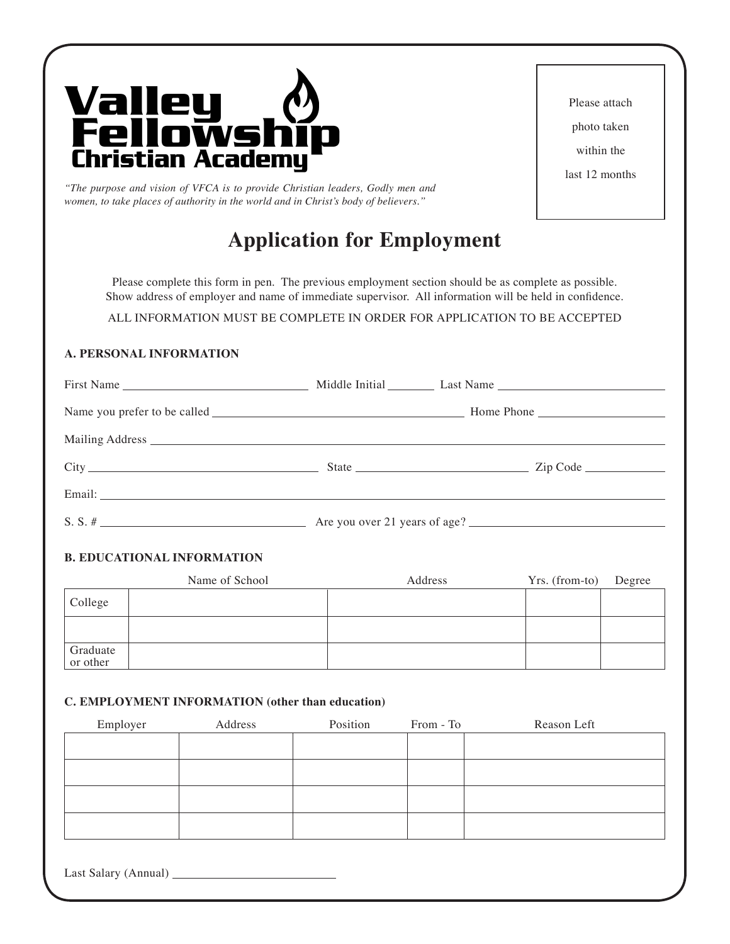

*"The purpose and vision of VFCA is to provide Christian leaders, Godly men and women, to take places of authority in the world and in Christ's body of believers."*

# **Application for Employment**

Please complete this form in pen. The previous employment section should be as complete as possible. Show address of employer and name of immediate supervisor. All information will be held in confidence.

ALL INFORMATION MUST BE COMPLETE IN ORDER FOR APPLICATION TO BE ACCEPTED

# **A. PERSONAL INFORMATION**

## **B. EDUCATIONAL INFORMATION**

|                      | Name of School | Address | Yrs. (from-to) | Degree |
|----------------------|----------------|---------|----------------|--------|
| College              |                |         |                |        |
|                      |                |         |                |        |
| Graduate<br>or other |                |         |                |        |

## **C. EMPLOYMENT INFORMATION (other than education)**

| Employer | Address | Position | From - To | Reason Left |
|----------|---------|----------|-----------|-------------|
|          |         |          |           |             |
|          |         |          |           |             |
|          |         |          |           |             |
|          |         |          |           |             |
|          |         |          |           |             |
|          |         |          |           |             |
|          |         |          |           |             |

Last Salary (Annual)

Please attach photo taken within the last 12 months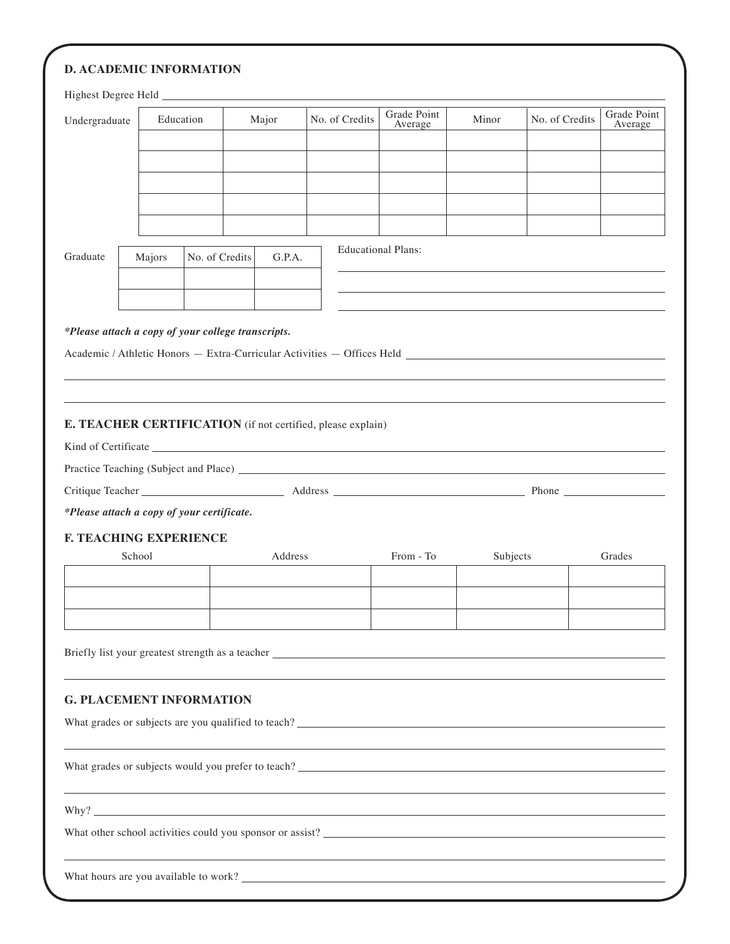| Undergraduate                              |        | Education      | Major                                              | No. of Credits                                                                                                       | Grade Point<br>Average    | Minor    | No. of Credits | Grade Point<br>Average |
|--------------------------------------------|--------|----------------|----------------------------------------------------|----------------------------------------------------------------------------------------------------------------------|---------------------------|----------|----------------|------------------------|
|                                            |        |                |                                                    |                                                                                                                      |                           |          |                |                        |
|                                            |        |                |                                                    |                                                                                                                      |                           |          |                |                        |
|                                            |        |                |                                                    |                                                                                                                      |                           |          |                |                        |
|                                            |        |                |                                                    |                                                                                                                      |                           |          |                |                        |
|                                            |        |                |                                                    |                                                                                                                      |                           |          |                |                        |
| Graduate                                   | Majors | No. of Credits |                                                    | G.P.A.                                                                                                               | <b>Educational Plans:</b> |          |                |                        |
|                                            |        |                |                                                    |                                                                                                                      |                           |          |                |                        |
|                                            |        |                |                                                    |                                                                                                                      |                           |          |                |                        |
|                                            |        |                | *Please attach a copy of your college transcripts. |                                                                                                                      |                           |          |                |                        |
|                                            |        |                |                                                    |                                                                                                                      |                           |          |                |                        |
|                                            |        |                |                                                    |                                                                                                                      |                           |          |                |                        |
|                                            |        |                |                                                    |                                                                                                                      |                           |          |                |                        |
|                                            |        |                |                                                    |                                                                                                                      |                           |          |                |                        |
|                                            |        |                |                                                    | E. TEACHER CERTIFICATION (if not certified, please explain)                                                          |                           |          |                |                        |
|                                            |        |                |                                                    |                                                                                                                      |                           |          |                |                        |
|                                            |        |                |                                                    |                                                                                                                      |                           |          |                |                        |
|                                            |        |                |                                                    |                                                                                                                      |                           |          |                |                        |
| *Please attach a copy of your certificate. |        |                |                                                    |                                                                                                                      |                           |          |                |                        |
| <b>F. TEACHING EXPERIENCE</b>              |        |                |                                                    |                                                                                                                      |                           |          |                |                        |
|                                            | School |                |                                                    | Address                                                                                                              | From - To                 | Subjects |                | Grades                 |
|                                            |        |                |                                                    |                                                                                                                      |                           |          |                |                        |
|                                            |        |                |                                                    |                                                                                                                      |                           |          |                |                        |
|                                            |        |                |                                                    |                                                                                                                      |                           |          |                |                        |
|                                            |        |                |                                                    | Briefly list your greatest strength as a teacher ________________________________                                    |                           |          |                |                        |
| <b>G. PLACEMENT INFORMATION</b>            |        |                |                                                    |                                                                                                                      |                           |          |                |                        |
|                                            |        |                |                                                    |                                                                                                                      |                           |          |                |                        |
|                                            |        |                |                                                    |                                                                                                                      |                           |          |                |                        |
|                                            |        |                |                                                    | <u> 1989 - Jan Samuel Barbara, margaret eta bat erroman erroman erroman erroman ez erroman ez erroman ez ez ez e</u> |                           |          |                |                        |
|                                            |        |                |                                                    |                                                                                                                      |                           |          |                |                        |
|                                            |        |                |                                                    |                                                                                                                      |                           |          |                |                        |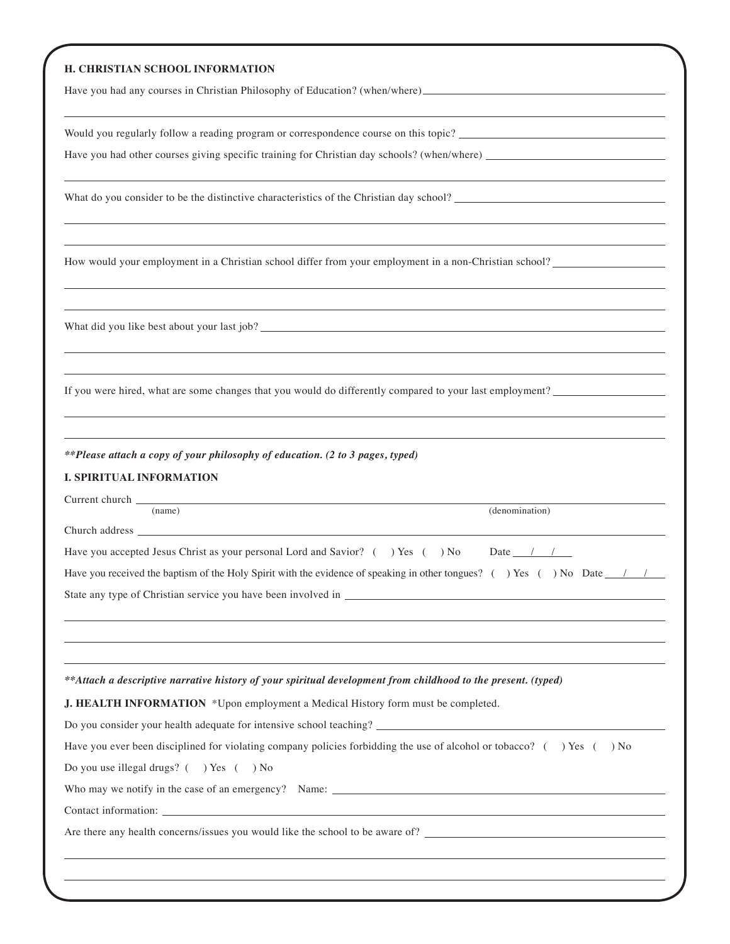#### **H. CHRISTIAN SCHOOL INFORMATION**

Have you had any courses in Christian Philosophy of Education? (when/where)

Would you regularly follow a reading program or correspondence course on this topic?

Have you had other courses giving specific training for Christian day schools? (when/where)

What do you consider to be the distinctive characteristics of the Christian day school?

How would your employment in a Christian school differ from your employment in a non-Christian school?

What did you like best about your last job?

If you were hired, what are some changes that you would do differently compared to your last employment?

*\*\*Please attach a copy of your philosophy of education. (2 to 3 pages, typed)*

## **I. SPIRITUAL INFORMATION**

| (name)                                                                                                                                  | (denomination) |
|-----------------------------------------------------------------------------------------------------------------------------------------|----------------|
|                                                                                                                                         |                |
|                                                                                                                                         |                |
| Have you accepted Jesus Christ as your personal Lord and Savior? () Yes () No Date $\frac{1}{\sqrt{2}}$                                 |                |
| Have you received the baptism of the Holy Spirit with the evidence of speaking in other tongues? () Yes () No Date $\frac{1}{\sqrt{2}}$ |                |
|                                                                                                                                         |                |
|                                                                                                                                         |                |
|                                                                                                                                         |                |
|                                                                                                                                         |                |
| **Attach a descriptive narrative history of your spiritual development from childhood to the present. (typed)                           |                |
| <b>J. HEALTH INFORMATION</b> *Upon employment a Medical History form must be completed.                                                 |                |
|                                                                                                                                         |                |
| Have you ever been disciplined for violating company policies forbidding the use of alcohol or tobacco? $($ ) Yes $($ ) No              |                |
| Do you use illegal drugs? () Yes () No                                                                                                  |                |
|                                                                                                                                         |                |
| Contact information: example, the contract of the contract of the contract of the contract information:                                 |                |
| Are there any health concerns/issues you would like the school to be aware of?                                                          |                |
| ,我们也不会有什么。""我们的人,我们也不会有什么?""我们的人,我们也不会有什么?""我们的人,我们也不会有什么?""我们的人,我们也不会有什么?""我们的人                                                        |                |
|                                                                                                                                         |                |